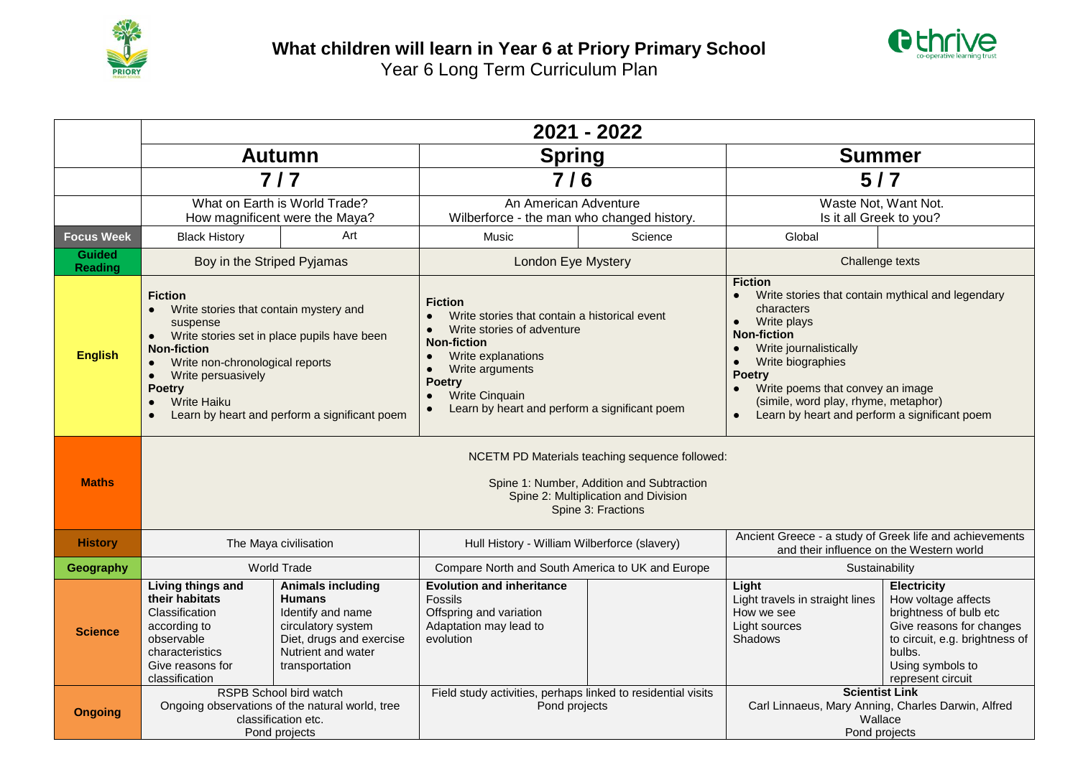



|                                 | 2021 - 2022                                                                                                                                                                                                                                                                                                                                                              |                                                                                                                                                          |                                                                                                                                                                                                                                                         |         |                                                                                                                                                                                                                                                                                                                                               |                                                                                                                                                                                      |  |  |  |  |
|---------------------------------|--------------------------------------------------------------------------------------------------------------------------------------------------------------------------------------------------------------------------------------------------------------------------------------------------------------------------------------------------------------------------|----------------------------------------------------------------------------------------------------------------------------------------------------------|---------------------------------------------------------------------------------------------------------------------------------------------------------------------------------------------------------------------------------------------------------|---------|-----------------------------------------------------------------------------------------------------------------------------------------------------------------------------------------------------------------------------------------------------------------------------------------------------------------------------------------------|--------------------------------------------------------------------------------------------------------------------------------------------------------------------------------------|--|--|--|--|
|                                 | <b>Autumn</b>                                                                                                                                                                                                                                                                                                                                                            |                                                                                                                                                          | <b>Spring</b>                                                                                                                                                                                                                                           |         | <b>Summer</b>                                                                                                                                                                                                                                                                                                                                 |                                                                                                                                                                                      |  |  |  |  |
|                                 | $7/7$                                                                                                                                                                                                                                                                                                                                                                    |                                                                                                                                                          | 7/6                                                                                                                                                                                                                                                     |         | $5/7$                                                                                                                                                                                                                                                                                                                                         |                                                                                                                                                                                      |  |  |  |  |
|                                 | What on Earth is World Trade?<br>How magnificent were the Maya?                                                                                                                                                                                                                                                                                                          |                                                                                                                                                          | An American Adventure<br>Wilberforce - the man who changed history.                                                                                                                                                                                     |         | Waste Not, Want Not.<br>Is it all Greek to you?                                                                                                                                                                                                                                                                                               |                                                                                                                                                                                      |  |  |  |  |
| <b>Focus Week</b>               | <b>Black History</b>                                                                                                                                                                                                                                                                                                                                                     | Art                                                                                                                                                      | Music                                                                                                                                                                                                                                                   | Science | Global                                                                                                                                                                                                                                                                                                                                        |                                                                                                                                                                                      |  |  |  |  |
| <b>Guided</b><br><b>Reading</b> | Boy in the Striped Pyjamas                                                                                                                                                                                                                                                                                                                                               |                                                                                                                                                          | <b>London Eye Mystery</b>                                                                                                                                                                                                                               |         | Challenge texts                                                                                                                                                                                                                                                                                                                               |                                                                                                                                                                                      |  |  |  |  |
| <b>English</b>                  | <b>Fiction</b><br>Write stories that contain mystery and<br>$\bullet$<br>suspense<br>Write stories set in place pupils have been<br>$\bullet$<br><b>Non-fiction</b><br>Write non-chronological reports<br>$\bullet$<br>Write persuasively<br>$\bullet$<br><b>Poetry</b><br><b>Write Haiku</b><br>$\bullet$<br>Learn by heart and perform a significant poem<br>$\bullet$ |                                                                                                                                                          | <b>Fiction</b><br>Write stories that contain a historical event<br>Write stories of adventure<br><b>Non-fiction</b><br>Write explanations<br>Write arguments<br><b>Poetry</b><br><b>Write Cinquain</b><br>Learn by heart and perform a significant poem |         | <b>Fiction</b><br>Write stories that contain mythical and legendary<br>characters<br>Write plays<br>$\bullet$<br><b>Non-fiction</b><br>Write journalistically<br>Write biographies<br>$\bullet$<br><b>Poetry</b><br>Write poems that convey an image<br>(simile, word play, rhyme, metaphor)<br>Learn by heart and perform a significant poem |                                                                                                                                                                                      |  |  |  |  |
| <b>Maths</b>                    | NCETM PD Materials teaching sequence followed:<br>Spine 1: Number, Addition and Subtraction<br>Spine 2: Multiplication and Division<br>Spine 3: Fractions                                                                                                                                                                                                                |                                                                                                                                                          |                                                                                                                                                                                                                                                         |         |                                                                                                                                                                                                                                                                                                                                               |                                                                                                                                                                                      |  |  |  |  |
| <b>History</b>                  | The Maya civilisation                                                                                                                                                                                                                                                                                                                                                    |                                                                                                                                                          | Hull History - William Wilberforce (slavery)                                                                                                                                                                                                            |         | Ancient Greece - a study of Greek life and achievements<br>and their influence on the Western world                                                                                                                                                                                                                                           |                                                                                                                                                                                      |  |  |  |  |
| Geography                       | <b>World Trade</b>                                                                                                                                                                                                                                                                                                                                                       |                                                                                                                                                          | Compare North and South America to UK and Europe                                                                                                                                                                                                        |         | Sustainability                                                                                                                                                                                                                                                                                                                                |                                                                                                                                                                                      |  |  |  |  |
| <b>Science</b>                  | <b>Living things and</b><br>their habitats<br>Classification<br>according to<br>observable<br>characteristics<br>Give reasons for<br>classification                                                                                                                                                                                                                      | <b>Animals including</b><br><b>Humans</b><br>Identify and name<br>circulatory system<br>Diet, drugs and exercise<br>Nutrient and water<br>transportation | <b>Evolution and inheritance</b><br>Fossils<br>Offspring and variation<br>Adaptation may lead to<br>evolution                                                                                                                                           |         | Light<br>Light travels in straight lines<br>How we see<br>Light sources<br><b>Shadows</b>                                                                                                                                                                                                                                                     | <b>Electricity</b><br>How voltage affects<br>brightness of bulb etc<br>Give reasons for changes<br>to circuit, e.g. brightness of<br>bulbs.<br>Using symbols to<br>represent circuit |  |  |  |  |
| <b>Ongoing</b>                  | RSPB School bird watch<br>Ongoing observations of the natural world, tree<br>classification etc.<br>Pond projects                                                                                                                                                                                                                                                        |                                                                                                                                                          | Field study activities, perhaps linked to residential visits<br>Pond projects                                                                                                                                                                           |         | <b>Scientist Link</b><br>Carl Linnaeus, Mary Anning, Charles Darwin, Alfred<br>Wallace<br>Pond projects                                                                                                                                                                                                                                       |                                                                                                                                                                                      |  |  |  |  |